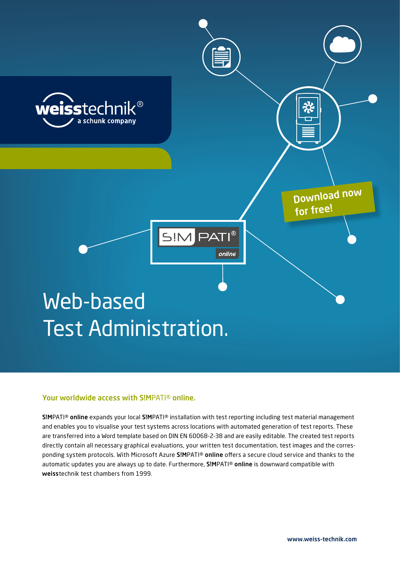

## Your worldwide access with S!MPATI® online.

S!MPATI® online expands your local S!MPATI® installation with test reporting including test material management and enables you to visualise your test systems across locations with automated generation of test reports. These are transferred into a Word template based on DIN EN 60068-2-38 and are easily editable. The created test reports directly contain all necessary graphical evaluations, your written test documentation, test images and the corresponding system protocols. With Microsoft Azure S!MPATI® online offers a secure cloud service and thanks to the automatic updates you are always up to date. Furthermore, S!MPATI® online is downward compatible with weisstechnik test chambers from 1999.